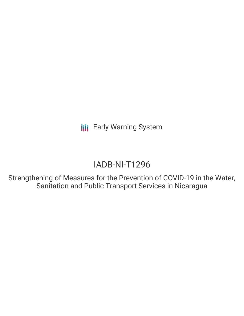**III** Early Warning System

# IADB-NI-T1296

Strengthening of Measures for the Prevention of COVID-19 in the Water, Sanitation and Public Transport Services in Nicaragua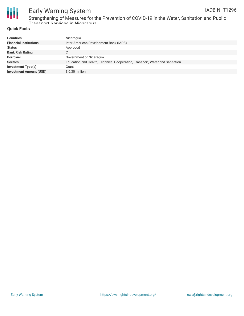



# Early Warning System

Strengthening of Measures for the Prevention of COVID-19 in the Water, Sanitation and Public Transport Services in Nicaragua

#### **Quick Facts**

| <b>Countries</b>               | Nicaragua                                                                    |
|--------------------------------|------------------------------------------------------------------------------|
| <b>Financial Institutions</b>  | Inter-American Development Bank (IADB)                                       |
| <b>Status</b>                  | Approved                                                                     |
| <b>Bank Risk Rating</b>        | С                                                                            |
| <b>Borrower</b>                | Government of Nicaragua                                                      |
| <b>Sectors</b>                 | Education and Health, Technical Cooperation, Transport, Water and Sanitation |
| Investment Type(s)             | Grant                                                                        |
| <b>Investment Amount (USD)</b> | \$0.30 million                                                               |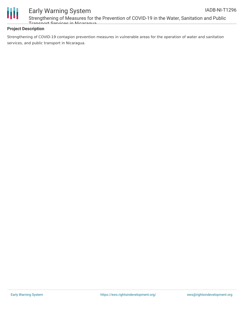

### Early Warning System Strengthening of Measures for the Prevention of COVID-19 in the Water, Sanitation and Public Transport Services in Nicaragua

#### **Project Description**

Strengthening of COVID-19 contagion prevention measures in vulnerable areas for the operation of water and sanitation services, and public transport in Nicaragua.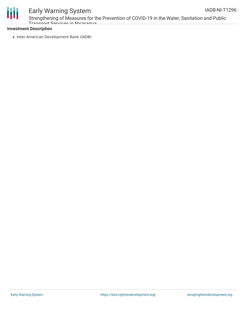

#### Early Warning System Strengthening of Measures for the Prevention of COVID-19 in the Water, Sanitation and Public IADB-NI-T1296

Transport Services in Nicaragua

#### **Investment Description**

• Inter-American Development Bank (IADB)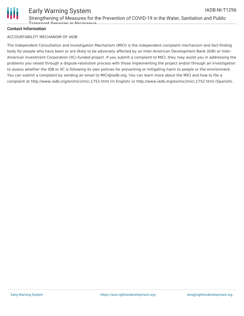

#### Early Warning System Strengthening of Measures for the Prevention of COVID-19 in the Water, Sanitation and Public Transport Services in Nicaragua IADB-NI-T1296

## **Contact Information**

### ACCOUNTABILITY MECHANISM OF IADB

The Independent Consultation and Investigation Mechanism (MICI) is the independent complaint mechanism and fact-finding body for people who have been or are likely to be adversely affected by an Inter-American Development Bank (IDB) or Inter-American Investment Corporation (IIC)-funded project. If you submit a complaint to MICI, they may assist you in addressing the problems you raised through a dispute-resolution process with those implementing the project and/or through an investigation to assess whether the IDB or IIC is following its own policies for preventing or mitigating harm to people or the environment. You can submit a complaint by sending an email to MICI@iadb.org. You can learn more about the MICI and how to file a complaint at http://www.iadb.org/en/mici/mici,1752.html (in English) or http://www.iadb.org/es/mici/mici,1752.html (Spanish).